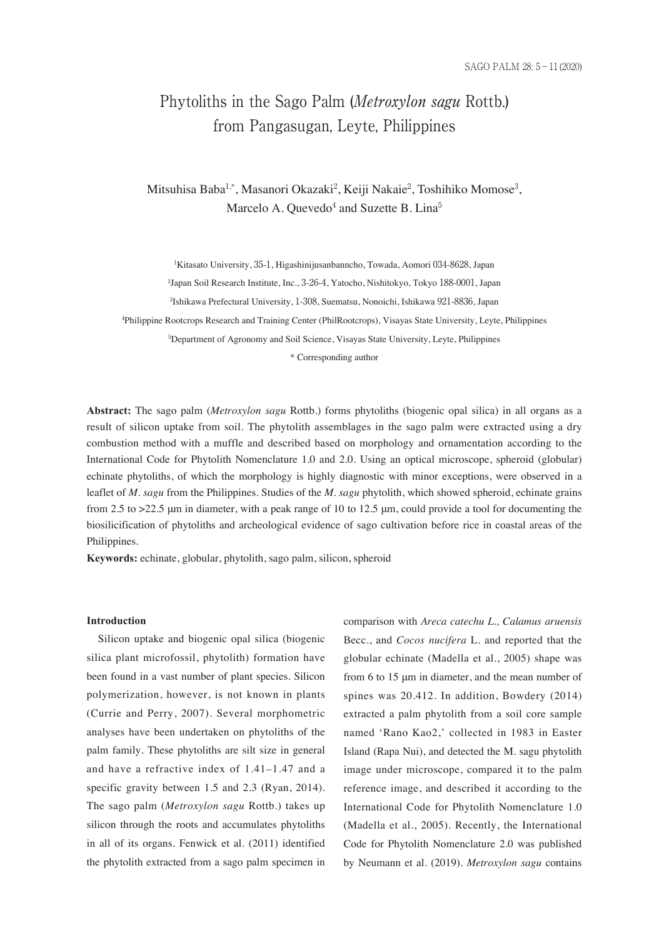# Phytoliths in the Sago Palm (Metroxylon sagu Rottb.) from Pangasugan, Leyte, Philippines

Mitsuhisa Baba<sup>1,</sup>\*, Masanori Okazaki<sup>2</sup>, Keiji Nakaie<sup>2</sup>, Toshihiko Momose<sup>3</sup>, Marcelo A. Quevedo<sup>4</sup> and Suzette B. Lina<sup>5</sup>

1 Kitasato University, 35-1, Higashinijusanbanncho, Towada, Aomori 034-8628, Japan

2 Japan Soil Research Institute, Inc., 3-26-4, Yatocho, Nishitokyo, Tokyo 188-0001, Japan

3 Ishikawa Prefectural University, 1-308, Suematsu, Nonoichi, Ishikawa 921-8836, Japan

4 Philippine Rootcrops Research and Training Center (PhilRootcrops), Visayas State University, Leyte, Philippines

5 Department of Agronomy and Soil Science, Visayas State University, Leyte, Philippines

\* Corresponding author

**Abstract:** The sago palm (*Metroxylon sagu* Rottb.) forms phytoliths (biogenic opal silica) in all organs as a result of silicon uptake from soil. The phytolith assemblages in the sago palm were extracted using a dry combustion method with a muffle and described based on morphology and ornamentation according to the International Code for Phytolith Nomenclature 1.0 and 2.0. Using an optical microscope, spheroid (globular) echinate phytoliths, of which the morphology is highly diagnostic with minor exceptions, were observed in a leaflet of *M. sagu* from the Philippines. Studies of the *M. sagu* phytolith, which showed spheroid, echinate grains from 2.5 to >22.5 μm in diameter, with a peak range of 10 to 12.5 μm, could provide a tool for documenting the biosilicification of phytoliths and archeological evidence of sago cultivation before rice in coastal areas of the Philippines.

**Keywords:** echinate, globular, phytolith, sago palm, silicon, spheroid

#### **Introduction**

Silicon uptake and biogenic opal silica (biogenic silica plant microfossil, phytolith) formation have been found in a vast number of plant species. Silicon polymerization, however, is not known in plants (Currie and Perry, 2007). Several morphometric analyses have been undertaken on phytoliths of the palm family. These phytoliths are silt size in general and have a refractive index of 1.41–1.47 and a specific gravity between 1.5 and 2.3 (Ryan, 2014). The sago palm (*Metroxylon sagu* Rottb.) takes up silicon through the roots and accumulates phytoliths in all of its organs. Fenwick et al. (2011) identified the phytolith extracted from a sago palm specimen in comparison with *Areca catechu L., Calamus aruensis* Becc., and *Cocos nucifera* L. and reported that the globular echinate (Madella et al., 2005) shape was from 6 to 15 μm in diameter, and the mean number of spines was 20.412. In addition, Bowdery (2014) extracted a palm phytolith from a soil core sample named 'Rano Kao2,' collected in 1983 in Easter Island (Rapa Nui), and detected the M. sagu phytolith image under microscope, compared it to the palm reference image, and described it according to the International Code for Phytolith Nomenclature 1.0 (Madella et al., 2005). Recently, the International Code for Phytolith Nomenclature 2.0 was published by Neumann et al. (2019). *Metroxylon sagu* contains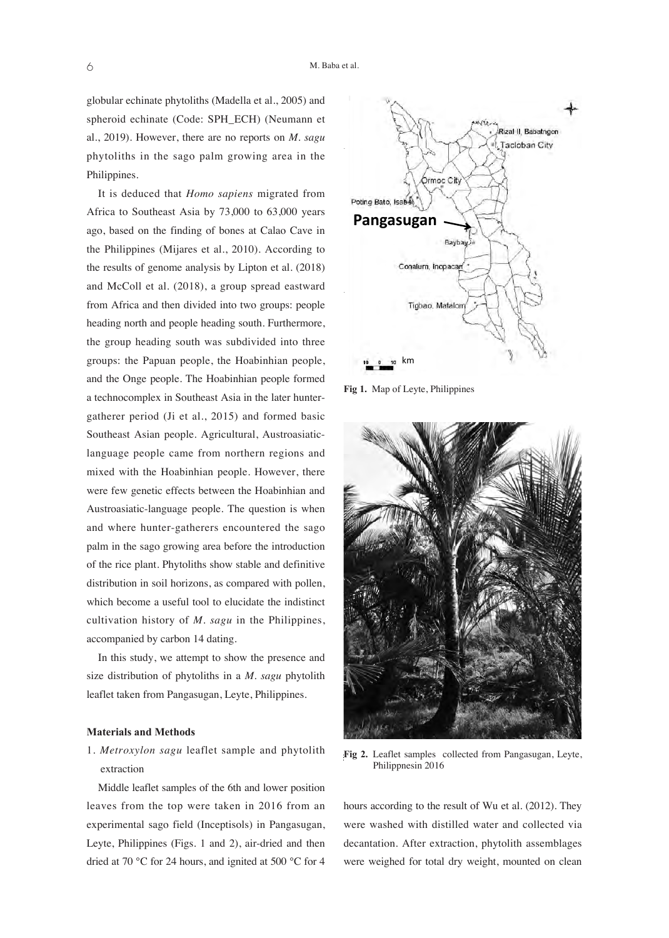globular echinate phytoliths (Madella et al., 2005) and spheroid echinate (Code: SPH\_ECH) (Neumann et al., 2019). However, there are no reports on *M. sagu* phytoliths in the sago palm growing area in the Philippines.

It is deduced that *Homo sapiens* migrated from Africa to Southeast Asia by 73,000 to 63,000 years ago, based on the finding of bones at Calao Cave in the Philippines (Mijares et al., 2010). According to the results of genome analysis by Lipton et al. (2018) and McColl et al. (2018), a group spread eastward from Africa and then divided into two groups: people heading north and people heading south. Furthermore, the group heading south was subdivided into three groups: the Papuan people, the Hoabinhian people, and the Onge people. The Hoabinhian people formed a technocomplex in Southeast Asia in the later huntergatherer period (Ji et al., 2015) and formed basic Southeast Asian people. Agricultural, Austroasiaticlanguage people came from northern regions and mixed with the Hoabinhian people. However, there were few genetic effects between the Hoabinhian and Austroasiatic-language people. The question is when and where hunter-gatherers encountered the sago palm in the sago growing area before the introduction of the rice plant. Phytoliths show stable and definitive distribution in soil horizons, as compared with pollen, which become a useful tool to elucidate the indistinct cultivation history of *M. sagu* in the Philippines, accompanied by carbon 14 dating.

In this study, we attempt to show the presence and size distribution of phytoliths in a *M. sagu* phytolith leaflet taken from Pangasugan, Leyte, Philippines.

#### **Materials and Methods**

# 1. *Metroxylon sagu* leaflet sample and phytolith extraction

Middle leaflet samples of the 6th and lower position leaves from the top were taken in 2016 from an experimental sago field (Inceptisols) in Pangasugan, Leyte, Philippines (Figs. 1 and 2), air-dried and then dried at 70 °C for 24 hours, and ignited at 500 °C for 4



**Fig 1.** Map of Leyte, Philippines



Fig 2. Leaflet samples collected from Pangasugan, Leyte, Philippnesin 2016

hours according to the result of Wu et al. (2012). They were washed with distilled water and collected via decantation. After extraction, phytolith assemblages were weighed for total dry weight, mounted on clean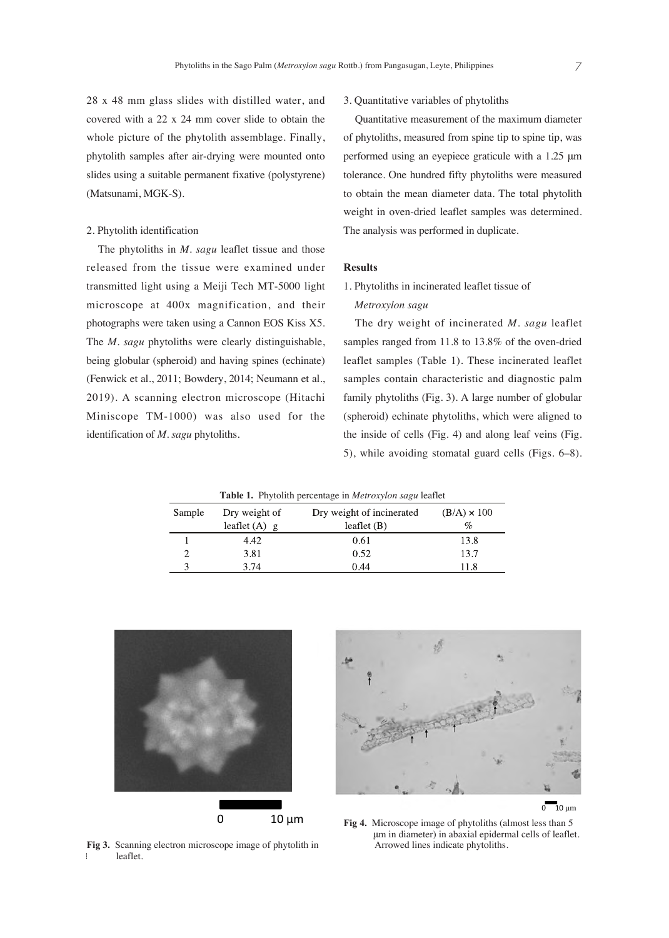28 x 48 mm glass slides with distilled water, and covered with a 22 x 24 mm cover slide to obtain the whole picture of the phytolith assemblage. Finally, phytolith samples after air-drying were mounted onto slides using a suitable permanent fixative (polystyrene) (Matsunami, MGK-S).

# 2. Phytolith identification

The phytoliths in *M. sagu* leaflet tissue and those released from the tissue were examined under transmitted light using a Meiji Tech MT-5000 light microscope at 400x magnification, and their photographs were taken using a Cannon EOS Kiss X5. The *M. sagu* phytoliths were clearly distinguishable, being globular (spheroid) and having spines (echinate) (Fenwick et al., 2011; Bowdery, 2014; Neumann et al., 2019). A scanning electron microscope (Hitachi Miniscope TM-1000) was also used for the identification of *M. sagu* phytoliths.

S

3. Quantitative variables of phytoliths

Quantitative measurement of the maximum diameter of phytoliths, measured from spine tip to spine tip, was performed using an eyepiece graticule with a 1.25 μm tolerance. One hundred fifty phytoliths were measured to obtain the mean diameter data. The total phytolith weight in oven-dried leaflet samples was determined. The analysis was performed in duplicate.

# **Results**

# 1. Phytoliths in incinerated leaflet tissue of *Metroxylon sagu*

The dry weight of incinerated *M. sagu* leaflet samples ranged from 11.8 to 13.8% of the oven-dried leaflet samples (Table 1). These incinerated leaflet samples contain characteristic and diagnostic palm family phytoliths (Fig. 3). A large number of globular (spheroid) echinate phytoliths, which were aligned to the inside of cells (Fig. 4) and along leaf veins (Fig. 5), while avoiding stomatal guard cells (Figs. 6–8).

11.8

| <b>Table 1.</b> Phytolith percentage in <i>Metroxylon sagu</i> leaflet |                                  |                                            |                         |
|------------------------------------------------------------------------|----------------------------------|--------------------------------------------|-------------------------|
| ample                                                                  | Dry weight of<br>leaflet $(A)$ g | Dry weight of incinerated<br>leaflet $(B)$ | $(B/A) \times 100$<br>% |
|                                                                        | 4.42                             | 0.61                                       | 13.8                    |
|                                                                        | 3.81                             | 0.52                                       | 13.7                    |

0.44



3.74

leaflet. **Fig 3.** Scanning electron microscope image of phytolith in

leaflet.

 $0 - 10$  um

**Fig 4.** Microscope image of phytoliths (almost less than 5 μm in diameter) in abaxial epidermal cells of leaflet. Arrowed lines indicate phytoliths.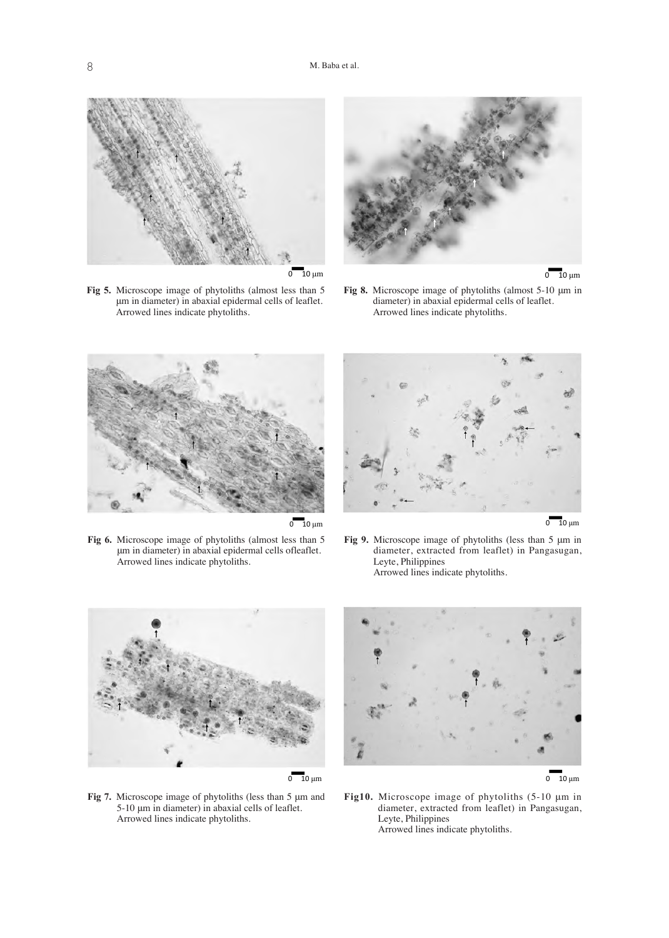

**Fig 5.** Microscope image of phytoliths (almost less than 5 μm in diameter) in abaxial epidermal cells of leaflet. Arrowed lines indicate phytoliths.





**Fig 8.** Microscope image of phytoliths (almost 5-10 μm in diameter) in abaxial epidermal cells of leaflet. Arrowed lines indicate phytoliths.



 $0 - 10 \mu m$ 

**Fig 6.** Microscope image of phytoliths (almost less than 5 μm in diameter) in abaxial epidermal cells ofleaflet. Arrowed lines indicate phytoliths.



 $0 - 10 \mu m$ 

**Fig 9.** Microscope image of phytoliths (less than 5 μm in diameter, extracted from leaflet) in Pangasugan, Leyte, Philippines Arrowed lines indicate phytoliths.



**Fig 7.** Microscope image of phytoliths (less than 5 μm and 5-10 μm in diameter) in abaxial cells of leaflet. Arrowed lines indicate phytoliths.



 $0 - 10 \mu m$ 

**Fig10.** Microscope image of phytoliths (5-10 μm in diameter, extracted from leaflet) in Pangasugan, Leyte, Philippines Arrowed lines indicate phytoliths.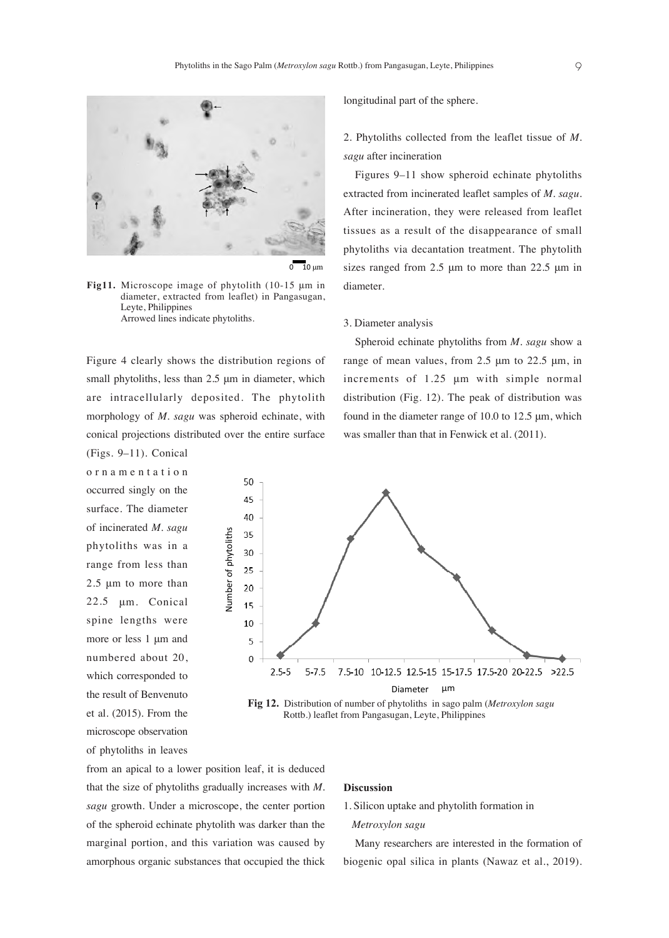longitudinal part of the sphere.

*sagu* after incineration

diameter.

3. Diameter analysis

2. Phytoliths collected from the leaflet tissue of *M.*

Figures 9–11 show spheroid echinate phytoliths extracted from incinerated leaflet samples of *M. sagu.* After incineration, they were released from leaflet tissues as a result of the disappearance of small phytoliths via decantation treatment. The phytolith sizes ranged from 2.5 μm to more than 22.5 μm in

Spheroid echinate phytoliths from *M. sagu* show a range of mean values, from 2.5 μm to 22.5 μm, in increments of 1.25 μm with simple normal distribution (Fig. 12). The peak of distribution was found in the diameter range of 10.0 to 12.5  $\mu$ m, which

was smaller than that in Fenwick et al. (2011).



 $0 - 10$  μm

**Fig11.** Microscope image of phytolith (10-15 μm in diameter, extracted from leaflet) in Pangasugan, Leyte, Philippines Arrowed lines indicate phytoliths.

Figure 4 clearly shows the distribution regions of small phytoliths, less than 2.5 μm in diameter, which are intracellularly deposited. The phytolith morphology of *M. sagu* was spheroid echinate, with conical projections distributed over the entire surface

> 50 45

(Figs. 9–11). Conical ornamentation occurred singly on the surface. The diameter of incinerated *M. sagu* phytoliths was in a range from less than 2.5 μm to more than 22.5 μm. Conical spine lengths were more or less 1 μm and numbered about 20, which corresponded to the result of Benvenuto et al. (2015). From the microscope observation of phytoliths in leaves

40 hs 35 f phytolit 30 25 Number o 20 15 10 5  $\Omega$  $2.5 - 5$  $5 - 7.5$ 7.5-10 10-12.5 12.5-15 15-17.5 17.5-20 20-22.5 >22.5 Diameter μm

Fig 12. Distribution of number of phytoliths in sago palm (*Metroxylon sagu* Rottb.) leaflet from Pangasugan, Leyte, Philippines

from an apical to a lower position leaf, it is deduced that the size of phytoliths gradually increases with *M. sagu* growth. Under a microscope, the center portion of the spheroid echinate phytolith was darker than the marginal portion, and this variation was caused by amorphous organic substances that occupied the thick

### **Discussion**

1. Silicon uptake and phytolith formation in

#### *Metroxylon sagu*

Many researchers are interested in the formation of biogenic opal silica in plants (Nawaz et al., 2019).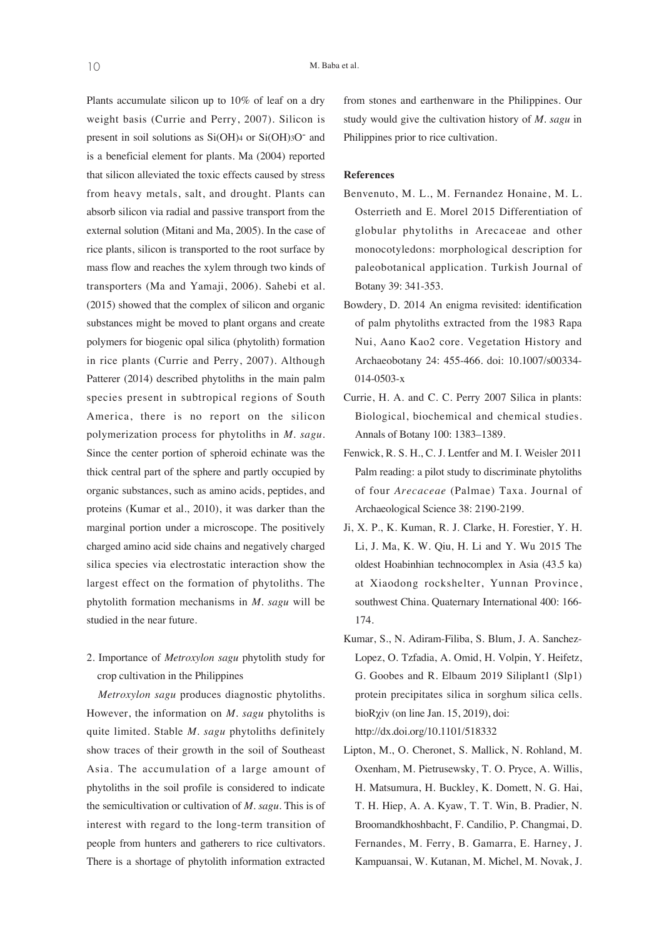Plants accumulate silicon up to 10% of leaf on a dry weight basis (Currie and Perry, 2007). Silicon is present in soil solutions as  $Si(OH)$ 4 or  $Si(OH)$ 3O<sup>-</sup> and is a beneficial element for plants. Ma (2004) reported that silicon alleviated the toxic effects caused by stress from heavy metals, salt, and drought. Plants can absorb silicon via radial and passive transport from the external solution (Mitani and Ma, 2005). In the case of rice plants, silicon is transported to the root surface by mass flow and reaches the xylem through two kinds of transporters (Ma and Yamaji, 2006). Sahebi et al. (2015) showed that the complex of silicon and organic substances might be moved to plant organs and create polymers for biogenic opal silica (phytolith) formation in rice plants (Currie and Perry, 2007). Although Patterer (2014) described phytoliths in the main palm species present in subtropical regions of South America, there is no report on the silicon polymerization process for phytoliths in *M. sagu*. Since the center portion of spheroid echinate was the thick central part of the sphere and partly occupied by organic substances, such as amino acids, peptides, and proteins (Kumar et al., 2010), it was darker than the marginal portion under a microscope. The positively charged amino acid side chains and negatively charged silica species via electrostatic interaction show the largest effect on the formation of phytoliths. The phytolith formation mechanisms in *M. sagu* will be studied in the near future.

2. Importance of *Metroxylon sagu* phytolith study for crop cultivation in the Philippines

*Metroxylon sagu* produces diagnostic phytoliths. However, the information on *M. sagu* phytoliths is quite limited. Stable *M. sagu* phytoliths definitely show traces of their growth in the soil of Southeast Asia. The accumulation of a large amount of phytoliths in the soil profile is considered to indicate the semicultivation or cultivation of *M. sagu*. This is of interest with regard to the long-term transition of people from hunters and gatherers to rice cultivators. There is a shortage of phytolith information extracted from stones and earthenware in the Philippines. Our study would give the cultivation history of *M. sagu* in Philippines prior to rice cultivation.

### **References**

- Benvenuto, M. L., M. Fernandez Honaine, M. L. Osterrieth and E. Morel 2015 Differentiation of globular phytoliths in Arecaceae and other monocotyledons: morphological description for paleobotanical application. Turkish Journal of Botany 39: 341-353.
- Bowdery, D. 2014 An enigma revisited: identification of palm phytoliths extracted from the 1983 Rapa Nui, Aano Kao2 core. Vegetation History and Archaeobotany 24: 455-466. doi: 10.1007/s00334- 014-0503-x
- Currie, H. A. and C. C. Perry 2007 Silica in plants: Biological, biochemical and chemical studies. Annals of Botany 100: 1383–1389.
- Fenwick, R. S. H., C. J. Lentfer and M. I. Weisler 2011 Palm reading: a pilot study to discriminate phytoliths of four *Arecaceae* (Palmae) Taxa. Journal of Archaeological Science 38: 2190-2199.
- Ji, X. P., K. Kuman, R. J. Clarke, H. Forestier, Y. H. Li, J. Ma, K. W. Qiu, H. Li and Y. Wu 2015 The oldest Hoabinhian technocomplex in Asia (43.5 ka) at Xiaodong rockshelter, Yunnan Province, southwest China. Quaternary International 400: 166- 174.
- Kumar, S., N. Adiram-Filiba, S. Blum, J. A. Sanchez-Lopez, O. Tzfadia, A. Omid, H. Volpin, Y. Heifetz, G. Goobes and R. Elbaum 2019 Siliplant1 (Slp1) protein precipitates silica in sorghum silica cells. bioRχiv (on line Jan. 15, 2019), doi: http://dx.doi.org/10.1101/518332
- Lipton, M., O. Cheronet, S. Mallick, N. Rohland, M. Oxenham, M. Pietrusewsky, T. O. Pryce, A. Willis, H. Matsumura, H. Buckley, K. Domett, N. G. Hai, T. H. Hiep, A. A. Kyaw, T. T. Win, B. Pradier, N. Broomandkhoshbacht, F. Candilio, P. Changmai, D. Fernandes, M. Ferry, B. Gamarra, E. Harney, J. Kampuansai, W. Kutanan, M. Michel, M. Novak, J.